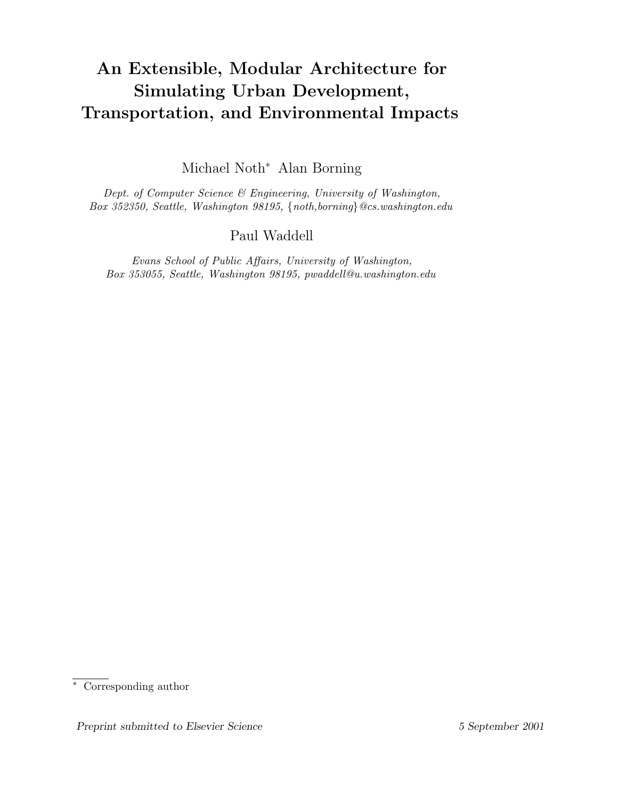# An Extensible, Modular Architecture for Simulating Urban Development, Transportation, and Environmental Impacts

Michael Noth<sup>∗</sup> Alan Borning

Dept. of Computer Science & Engineering, University of Washington, Box 352350, Seattle, Washington 98195, {noth,borning}@cs.washington.edu

Paul Waddell

Evans School of Public Affairs, University of Washington, Box 353055, Seattle, Washington 98195, pwaddell@u.washington.edu

<sup>∗</sup> Corresponding author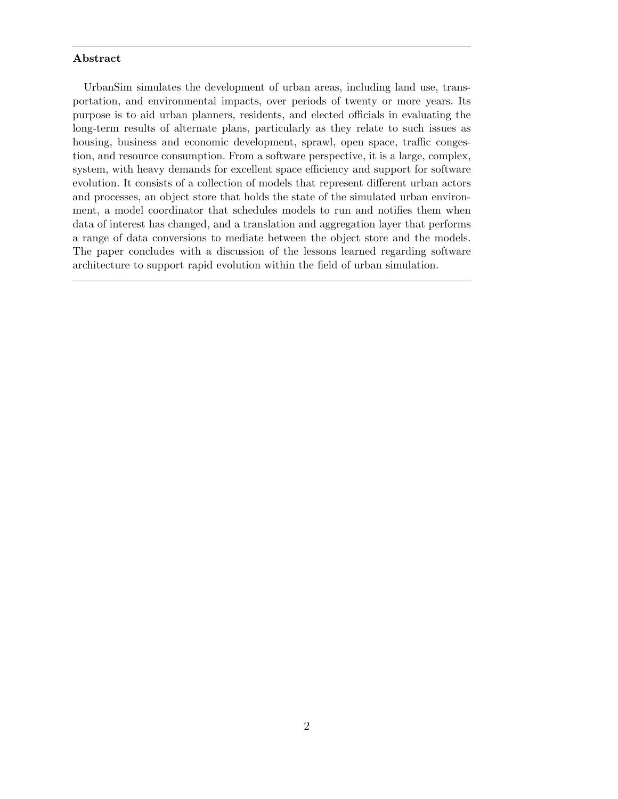#### Abstract

UrbanSim simulates the development of urban areas, including land use, transportation, and environmental impacts, over periods of twenty or more years. Its purpose is to aid urban planners, residents, and elected officials in evaluating the long-term results of alternate plans, particularly as they relate to such issues as housing, business and economic development, sprawl, open space, traffic congestion, and resource consumption. From a software perspective, it is a large, complex, system, with heavy demands for excellent space efficiency and support for software evolution. It consists of a collection of models that represent different urban actors and processes, an object store that holds the state of the simulated urban environment, a model coordinator that schedules models to run and notifies them when data of interest has changed, and a translation and aggregation layer that performs a range of data conversions to mediate between the object store and the models. The paper concludes with a discussion of the lessons learned regarding software architecture to support rapid evolution within the field of urban simulation.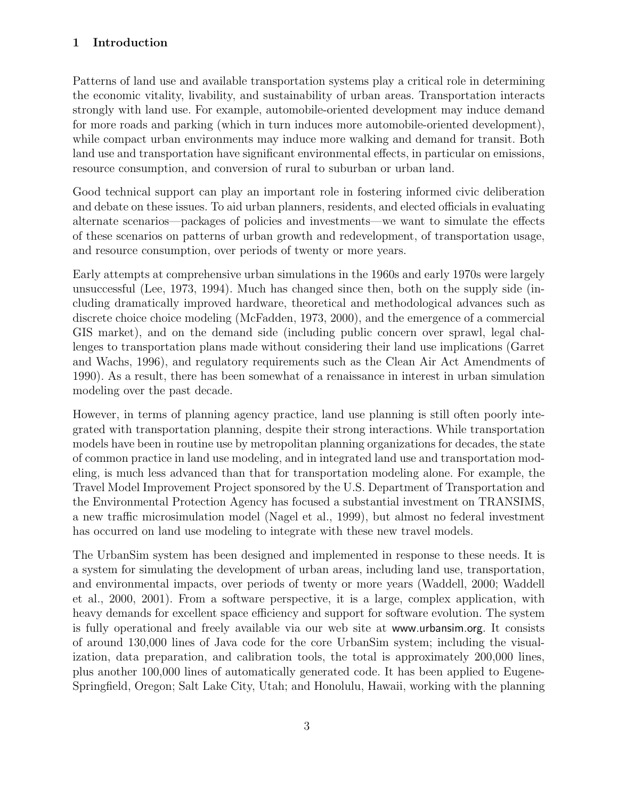# 1 Introduction

Patterns of land use and available transportation systems play a critical role in determining the economic vitality, livability, and sustainability of urban areas. Transportation interacts strongly with land use. For example, automobile-oriented development may induce demand for more roads and parking (which in turn induces more automobile-oriented development), while compact urban environments may induce more walking and demand for transit. Both land use and transportation have significant environmental effects, in particular on emissions, resource consumption, and conversion of rural to suburban or urban land.

Good technical support can play an important role in fostering informed civic deliberation and debate on these issues. To aid urban planners, residents, and elected officials in evaluating alternate scenarios—packages of policies and investments—we want to simulate the effects of these scenarios on patterns of urban growth and redevelopment, of transportation usage, and resource consumption, over periods of twenty or more years.

Early attempts at comprehensive urban simulations in the 1960s and early 1970s were largely unsuccessful (Lee, 1973, 1994). Much has changed since then, both on the supply side (including dramatically improved hardware, theoretical and methodological advances such as discrete choice choice modeling (McFadden, 1973, 2000), and the emergence of a commercial GIS market), and on the demand side (including public concern over sprawl, legal challenges to transportation plans made without considering their land use implications (Garret and Wachs, 1996), and regulatory requirements such as the Clean Air Act Amendments of 1990). As a result, there has been somewhat of a renaissance in interest in urban simulation modeling over the past decade.

However, in terms of planning agency practice, land use planning is still often poorly integrated with transportation planning, despite their strong interactions. While transportation models have been in routine use by metropolitan planning organizations for decades, the state of common practice in land use modeling, and in integrated land use and transportation modeling, is much less advanced than that for transportation modeling alone. For example, the Travel Model Improvement Project sponsored by the U.S. Department of Transportation and the Environmental Protection Agency has focused a substantial investment on TRANSIMS, a new traffic microsimulation model (Nagel et al., 1999), but almost no federal investment has occurred on land use modeling to integrate with these new travel models.

The UrbanSim system has been designed and implemented in response to these needs. It is a system for simulating the development of urban areas, including land use, transportation, and environmental impacts, over periods of twenty or more years (Waddell, 2000; Waddell et al., 2000, 2001). From a software perspective, it is a large, complex application, with heavy demands for excellent space efficiency and support for software evolution. The system is fully operational and freely available via our web site at www.urbansim.org. It consists of around 130,000 lines of Java code for the core UrbanSim system; including the visualization, data preparation, and calibration tools, the total is approximately 200,000 lines, plus another 100,000 lines of automatically generated code. It has been applied to Eugene-Springfield, Oregon; Salt Lake City, Utah; and Honolulu, Hawaii, working with the planning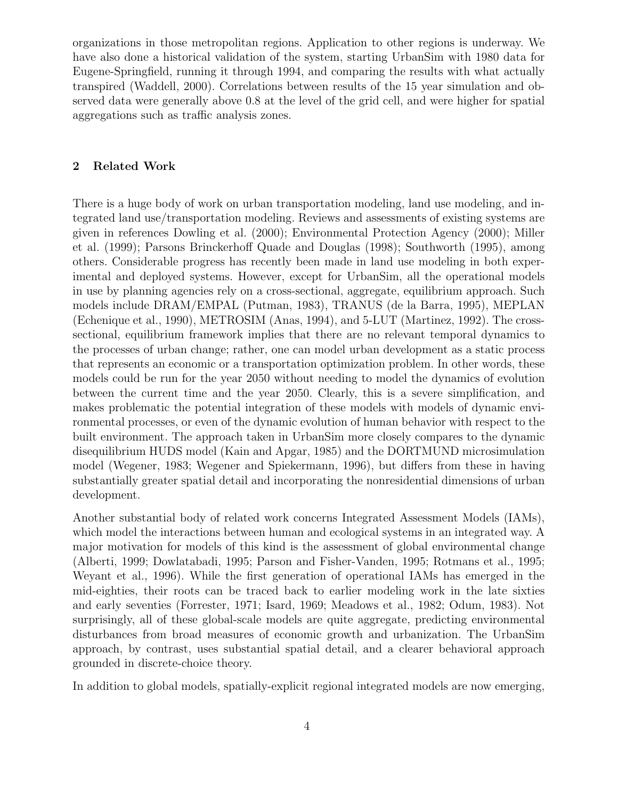organizations in those metropolitan regions. Application to other regions is underway. We have also done a historical validation of the system, starting UrbanSim with 1980 data for Eugene-Springfield, running it through 1994, and comparing the results with what actually transpired (Waddell, 2000). Correlations between results of the 15 year simulation and observed data were generally above 0.8 at the level of the grid cell, and were higher for spatial aggregations such as traffic analysis zones.

#### 2 Related Work

There is a huge body of work on urban transportation modeling, land use modeling, and integrated land use/transportation modeling. Reviews and assessments of existing systems are given in references Dowling et al. (2000); Environmental Protection Agency (2000); Miller et al. (1999); Parsons Brinckerhoff Quade and Douglas (1998); Southworth (1995), among others. Considerable progress has recently been made in land use modeling in both experimental and deployed systems. However, except for UrbanSim, all the operational models in use by planning agencies rely on a cross-sectional, aggregate, equilibrium approach. Such models include DRAM/EMPAL (Putman, 1983), TRANUS (de la Barra, 1995), MEPLAN (Echenique et al., 1990), METROSIM (Anas, 1994), and 5-LUT (Martinez, 1992). The crosssectional, equilibrium framework implies that there are no relevant temporal dynamics to the processes of urban change; rather, one can model urban development as a static process that represents an economic or a transportation optimization problem. In other words, these models could be run for the year 2050 without needing to model the dynamics of evolution between the current time and the year 2050. Clearly, this is a severe simplification, and makes problematic the potential integration of these models with models of dynamic environmental processes, or even of the dynamic evolution of human behavior with respect to the built environment. The approach taken in UrbanSim more closely compares to the dynamic disequilibrium HUDS model (Kain and Apgar, 1985) and the DORTMUND microsimulation model (Wegener, 1983; Wegener and Spiekermann, 1996), but differs from these in having substantially greater spatial detail and incorporating the nonresidential dimensions of urban development.

Another substantial body of related work concerns Integrated Assessment Models (IAMs), which model the interactions between human and ecological systems in an integrated way. A major motivation for models of this kind is the assessment of global environmental change (Alberti, 1999; Dowlatabadi, 1995; Parson and Fisher-Vanden, 1995; Rotmans et al., 1995; Weyant et al., 1996). While the first generation of operational IAMs has emerged in the mid-eighties, their roots can be traced back to earlier modeling work in the late sixties and early seventies (Forrester, 1971; Isard, 1969; Meadows et al., 1982; Odum, 1983). Not surprisingly, all of these global-scale models are quite aggregate, predicting environmental disturbances from broad measures of economic growth and urbanization. The UrbanSim approach, by contrast, uses substantial spatial detail, and a clearer behavioral approach grounded in discrete-choice theory.

In addition to global models, spatially-explicit regional integrated models are now emerging,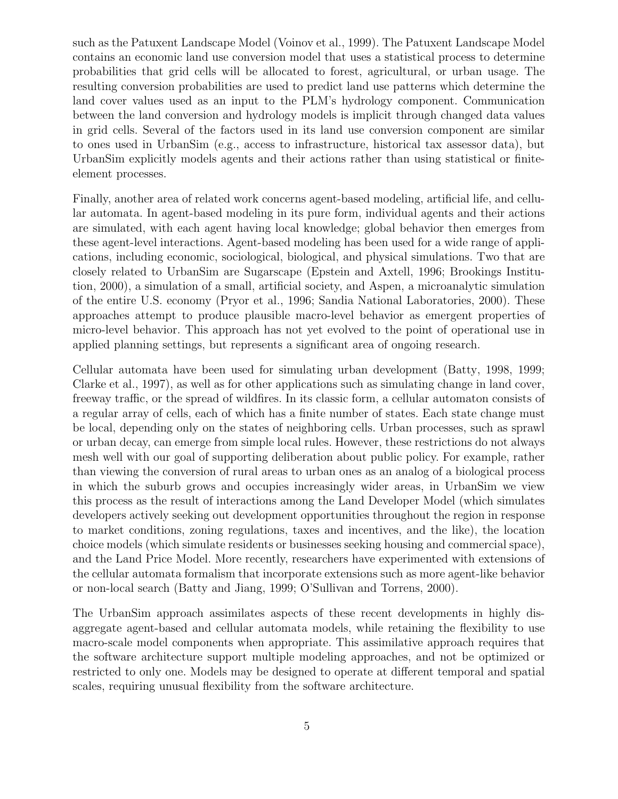such as the Patuxent Landscape Model (Voinov et al., 1999). The Patuxent Landscape Model contains an economic land use conversion model that uses a statistical process to determine probabilities that grid cells will be allocated to forest, agricultural, or urban usage. The resulting conversion probabilities are used to predict land use patterns which determine the land cover values used as an input to the PLM's hydrology component. Communication between the land conversion and hydrology models is implicit through changed data values in grid cells. Several of the factors used in its land use conversion component are similar to ones used in UrbanSim (e.g., access to infrastructure, historical tax assessor data), but UrbanSim explicitly models agents and their actions rather than using statistical or finiteelement processes.

Finally, another area of related work concerns agent-based modeling, artificial life, and cellular automata. In agent-based modeling in its pure form, individual agents and their actions are simulated, with each agent having local knowledge; global behavior then emerges from these agent-level interactions. Agent-based modeling has been used for a wide range of applications, including economic, sociological, biological, and physical simulations. Two that are closely related to UrbanSim are Sugarscape (Epstein and Axtell, 1996; Brookings Institution, 2000), a simulation of a small, artificial society, and Aspen, a microanalytic simulation of the entire U.S. economy (Pryor et al., 1996; Sandia National Laboratories, 2000). These approaches attempt to produce plausible macro-level behavior as emergent properties of micro-level behavior. This approach has not yet evolved to the point of operational use in applied planning settings, but represents a significant area of ongoing research.

Cellular automata have been used for simulating urban development (Batty, 1998, 1999; Clarke et al., 1997), as well as for other applications such as simulating change in land cover, freeway traffic, or the spread of wildfires. In its classic form, a cellular automaton consists of a regular array of cells, each of which has a finite number of states. Each state change must be local, depending only on the states of neighboring cells. Urban processes, such as sprawl or urban decay, can emerge from simple local rules. However, these restrictions do not always mesh well with our goal of supporting deliberation about public policy. For example, rather than viewing the conversion of rural areas to urban ones as an analog of a biological process in which the suburb grows and occupies increasingly wider areas, in UrbanSim we view this process as the result of interactions among the Land Developer Model (which simulates developers actively seeking out development opportunities throughout the region in response to market conditions, zoning regulations, taxes and incentives, and the like), the location choice models (which simulate residents or businesses seeking housing and commercial space), and the Land Price Model. More recently, researchers have experimented with extensions of the cellular automata formalism that incorporate extensions such as more agent-like behavior or non-local search (Batty and Jiang, 1999; O'Sullivan and Torrens, 2000).

The UrbanSim approach assimilates aspects of these recent developments in highly disaggregate agent-based and cellular automata models, while retaining the flexibility to use macro-scale model components when appropriate. This assimilative approach requires that the software architecture support multiple modeling approaches, and not be optimized or restricted to only one. Models may be designed to operate at different temporal and spatial scales, requiring unusual flexibility from the software architecture.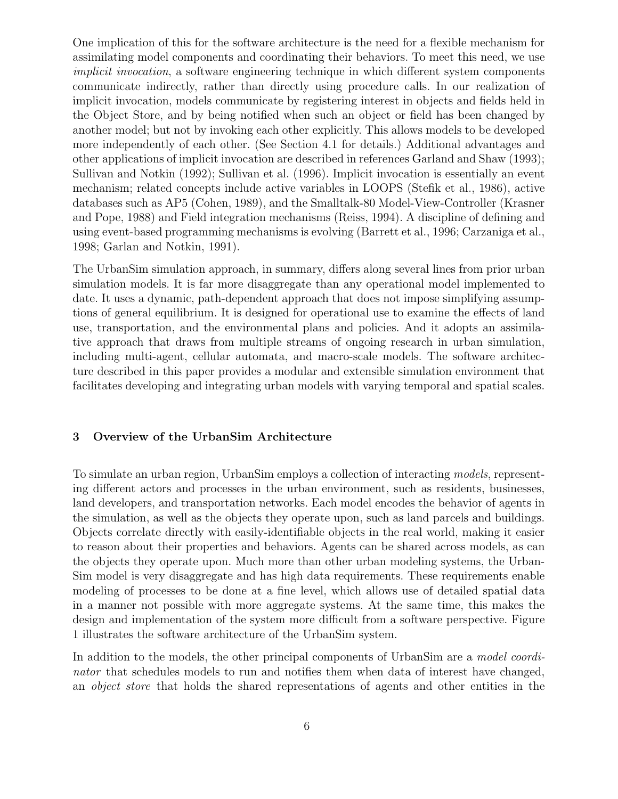One implication of this for the software architecture is the need for a flexible mechanism for assimilating model components and coordinating their behaviors. To meet this need, we use implicit invocation, a software engineering technique in which different system components communicate indirectly, rather than directly using procedure calls. In our realization of implicit invocation, models communicate by registering interest in objects and fields held in the Object Store, and by being notified when such an object or field has been changed by another model; but not by invoking each other explicitly. This allows models to be developed more independently of each other. (See Section 4.1 for details.) Additional advantages and other applications of implicit invocation are described in references Garland and Shaw (1993); Sullivan and Notkin (1992); Sullivan et al. (1996). Implicit invocation is essentially an event mechanism; related concepts include active variables in LOOPS (Stefik et al., 1986), active databases such as AP5 (Cohen, 1989), and the Smalltalk-80 Model-View-Controller (Krasner and Pope, 1988) and Field integration mechanisms (Reiss, 1994). A discipline of defining and using event-based programming mechanisms is evolving (Barrett et al., 1996; Carzaniga et al., 1998; Garlan and Notkin, 1991).

The UrbanSim simulation approach, in summary, differs along several lines from prior urban simulation models. It is far more disaggregate than any operational model implemented to date. It uses a dynamic, path-dependent approach that does not impose simplifying assumptions of general equilibrium. It is designed for operational use to examine the effects of land use, transportation, and the environmental plans and policies. And it adopts an assimilative approach that draws from multiple streams of ongoing research in urban simulation, including multi-agent, cellular automata, and macro-scale models. The software architecture described in this paper provides a modular and extensible simulation environment that facilitates developing and integrating urban models with varying temporal and spatial scales.

#### 3 Overview of the UrbanSim Architecture

To simulate an urban region, UrbanSim employs a collection of interacting models, representing different actors and processes in the urban environment, such as residents, businesses, land developers, and transportation networks. Each model encodes the behavior of agents in the simulation, as well as the objects they operate upon, such as land parcels and buildings. Objects correlate directly with easily-identifiable objects in the real world, making it easier to reason about their properties and behaviors. Agents can be shared across models, as can the objects they operate upon. Much more than other urban modeling systems, the Urban-Sim model is very disaggregate and has high data requirements. These requirements enable modeling of processes to be done at a fine level, which allows use of detailed spatial data in a manner not possible with more aggregate systems. At the same time, this makes the design and implementation of the system more difficult from a software perspective. Figure 1 illustrates the software architecture of the UrbanSim system.

In addition to the models, the other principal components of UrbanSim are a model coordinator that schedules models to run and notifies them when data of interest have changed, an object store that holds the shared representations of agents and other entities in the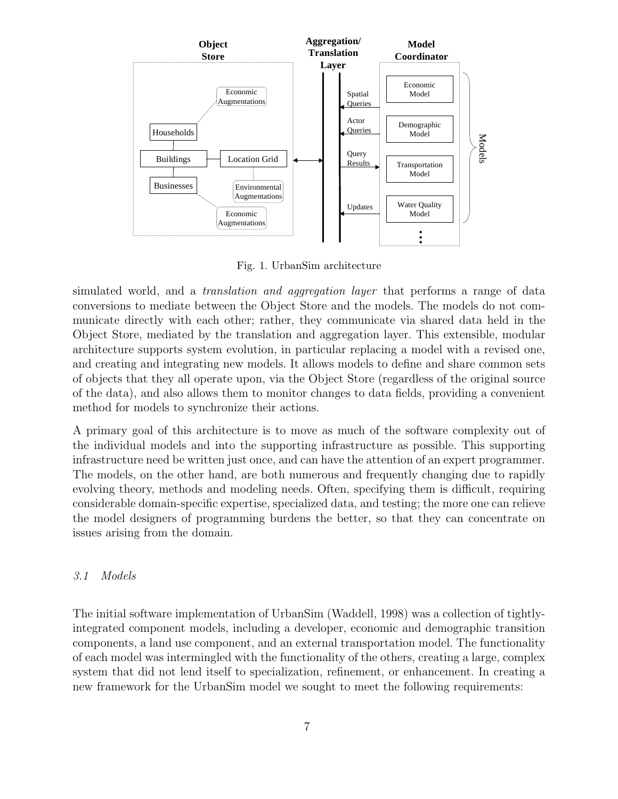

Fig. 1. UrbanSim architecture

simulated world, and a *translation and aggregation layer* that performs a range of data conversions to mediate between the Object Store and the models. The models do not communicate directly with each other; rather, they communicate via shared data held in the Object Store, mediated by the translation and aggregation layer. This extensible, modular architecture supports system evolution, in particular replacing a model with a revised one, and creating and integrating new models. It allows models to define and share common sets of objects that they all operate upon, via the Object Store (regardless of the original source of the data), and also allows them to monitor changes to data fields, providing a convenient method for models to synchronize their actions.

A primary goal of this architecture is to move as much of the software complexity out of the individual models and into the supporting infrastructure as possible. This supporting infrastructure need be written just once, and can have the attention of an expert programmer. The models, on the other hand, are both numerous and frequently changing due to rapidly evolving theory, methods and modeling needs. Often, specifying them is difficult, requiring considerable domain-specific expertise, specialized data, and testing; the more one can relieve the model designers of programming burdens the better, so that they can concentrate on issues arising from the domain.

### 3.1 Models

The initial software implementation of UrbanSim (Waddell, 1998) was a collection of tightlyintegrated component models, including a developer, economic and demographic transition components, a land use component, and an external transportation model. The functionality of each model was intermingled with the functionality of the others, creating a large, complex system that did not lend itself to specialization, refinement, or enhancement. In creating a new framework for the UrbanSim model we sought to meet the following requirements: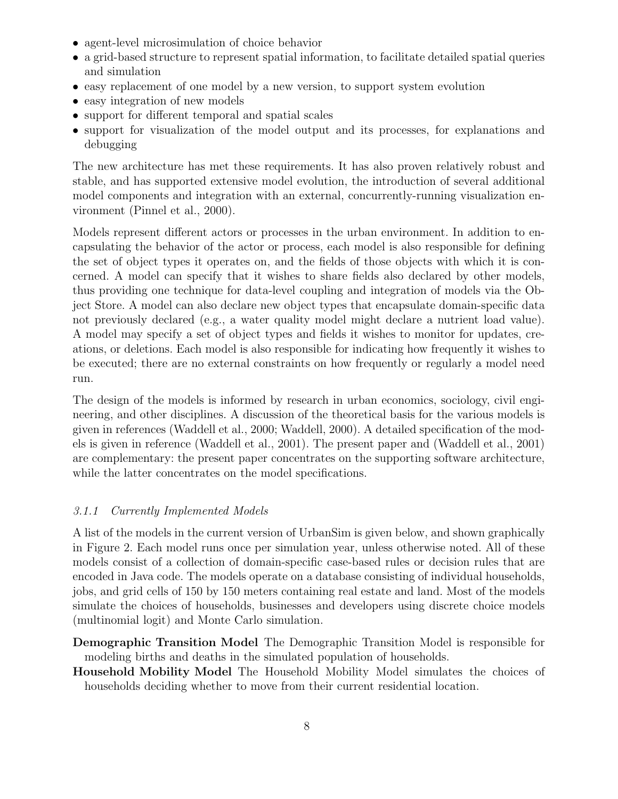- agent-level microsimulation of choice behavior
- a grid-based structure to represent spatial information, to facilitate detailed spatial queries and simulation
- easy replacement of one model by a new version, to support system evolution
- easy integration of new models
- support for different temporal and spatial scales
- support for visualization of the model output and its processes, for explanations and debugging

The new architecture has met these requirements. It has also proven relatively robust and stable, and has supported extensive model evolution, the introduction of several additional model components and integration with an external, concurrently-running visualization environment (Pinnel et al., 2000).

Models represent different actors or processes in the urban environment. In addition to encapsulating the behavior of the actor or process, each model is also responsible for defining the set of object types it operates on, and the fields of those objects with which it is concerned. A model can specify that it wishes to share fields also declared by other models, thus providing one technique for data-level coupling and integration of models via the Object Store. A model can also declare new object types that encapsulate domain-specific data not previously declared (e.g., a water quality model might declare a nutrient load value). A model may specify a set of object types and fields it wishes to monitor for updates, creations, or deletions. Each model is also responsible for indicating how frequently it wishes to be executed; there are no external constraints on how frequently or regularly a model need run.

The design of the models is informed by research in urban economics, sociology, civil engineering, and other disciplines. A discussion of the theoretical basis for the various models is given in references (Waddell et al., 2000; Waddell, 2000). A detailed specification of the models is given in reference (Waddell et al., 2001). The present paper and (Waddell et al., 2001) are complementary: the present paper concentrates on the supporting software architecture, while the latter concentrates on the model specifications.

## 3.1.1 Currently Implemented Models

A list of the models in the current version of UrbanSim is given below, and shown graphically in Figure 2. Each model runs once per simulation year, unless otherwise noted. All of these models consist of a collection of domain-specific case-based rules or decision rules that are encoded in Java code. The models operate on a database consisting of individual households, jobs, and grid cells of 150 by 150 meters containing real estate and land. Most of the models simulate the choices of households, businesses and developers using discrete choice models (multinomial logit) and Monte Carlo simulation.

- Demographic Transition Model The Demographic Transition Model is responsible for modeling births and deaths in the simulated population of households.
- Household Mobility Model The Household Mobility Model simulates the choices of households deciding whether to move from their current residential location.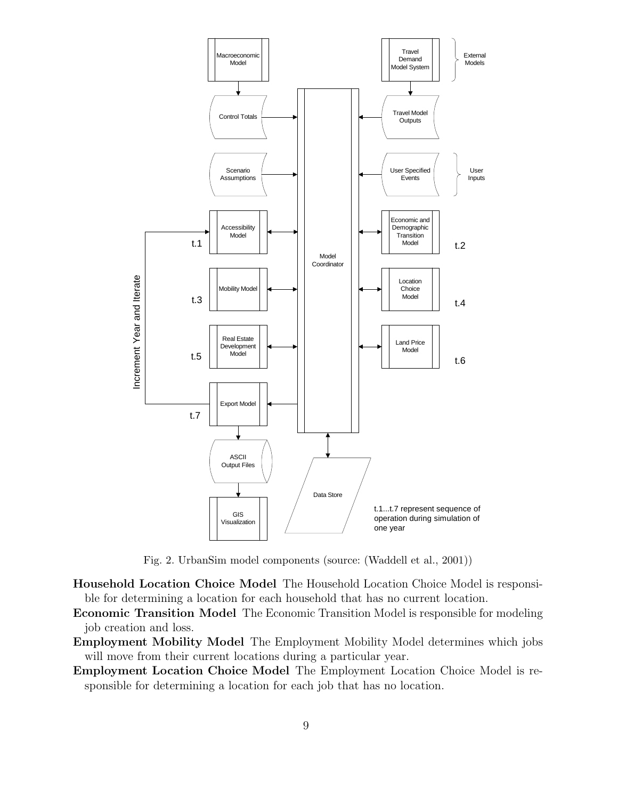

Fig. 2. UrbanSim model components (source: (Waddell et al., 2001))

- Household Location Choice Model The Household Location Choice Model is responsible for determining a location for each household that has no current location.
- Economic Transition Model The Economic Transition Model is responsible for modeling job creation and loss.
- Employment Mobility Model The Employment Mobility Model determines which jobs will move from their current locations during a particular year.
- Employment Location Choice Model The Employment Location Choice Model is responsible for determining a location for each job that has no location.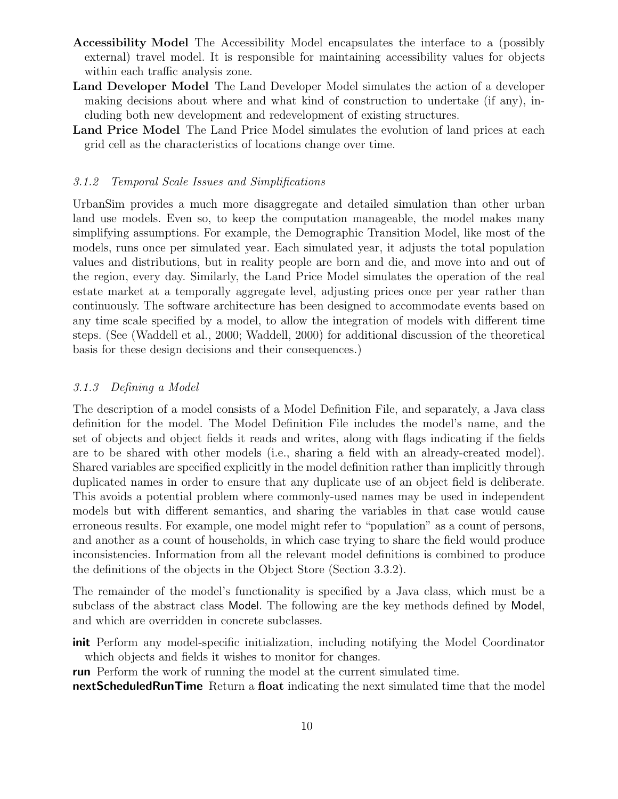- Accessibility Model The Accessibility Model encapsulates the interface to a (possibly external) travel model. It is responsible for maintaining accessibility values for objects within each traffic analysis zone.
- Land Developer Model The Land Developer Model simulates the action of a developer making decisions about where and what kind of construction to undertake (if any), including both new development and redevelopment of existing structures.
- Land Price Model The Land Price Model simulates the evolution of land prices at each grid cell as the characteristics of locations change over time.

#### 3.1.2 Temporal Scale Issues and Simplifications

UrbanSim provides a much more disaggregate and detailed simulation than other urban land use models. Even so, to keep the computation manageable, the model makes many simplifying assumptions. For example, the Demographic Transition Model, like most of the models, runs once per simulated year. Each simulated year, it adjusts the total population values and distributions, but in reality people are born and die, and move into and out of the region, every day. Similarly, the Land Price Model simulates the operation of the real estate market at a temporally aggregate level, adjusting prices once per year rather than continuously. The software architecture has been designed to accommodate events based on any time scale specified by a model, to allow the integration of models with different time steps. (See (Waddell et al., 2000; Waddell, 2000) for additional discussion of the theoretical basis for these design decisions and their consequences.)

#### 3.1.3 Defining a Model

The description of a model consists of a Model Definition File, and separately, a Java class definition for the model. The Model Definition File includes the model's name, and the set of objects and object fields it reads and writes, along with flags indicating if the fields are to be shared with other models (i.e., sharing a field with an already-created model). Shared variables are specified explicitly in the model definition rather than implicitly through duplicated names in order to ensure that any duplicate use of an object field is deliberate. This avoids a potential problem where commonly-used names may be used in independent models but with different semantics, and sharing the variables in that case would cause erroneous results. For example, one model might refer to "population" as a count of persons, and another as a count of households, in which case trying to share the field would produce inconsistencies. Information from all the relevant model definitions is combined to produce the definitions of the objects in the Object Store (Section 3.3.2).

The remainder of the model's functionality is specified by a Java class, which must be a subclass of the abstract class Model. The following are the key methods defined by Model, and which are overridden in concrete subclasses.

init Perform any model-specific initialization, including notifying the Model Coordinator which objects and fields it wishes to monitor for changes.

run Perform the work of running the model at the current simulated time.

nextScheduledRunTime Return a float indicating the next simulated time that the model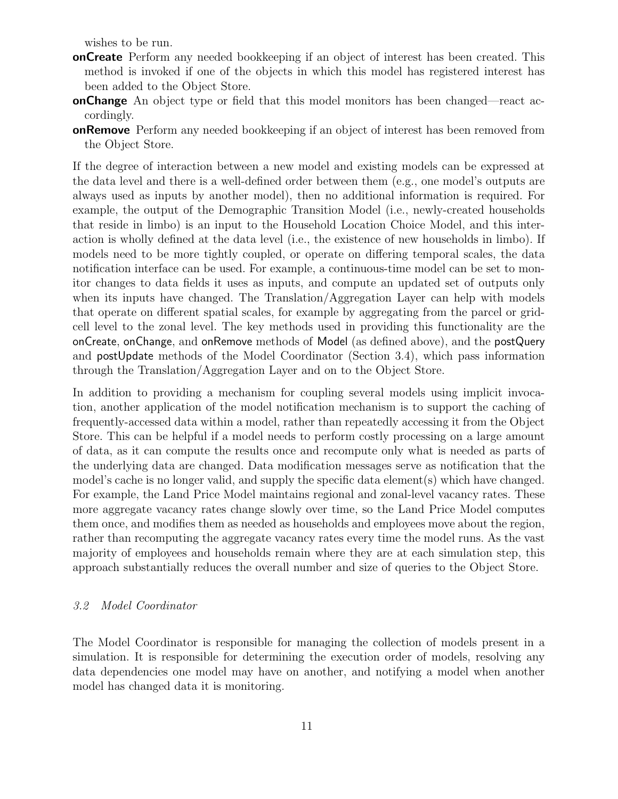wishes to be run.

- onCreate Perform any needed bookkeeping if an object of interest has been created. This method is invoked if one of the objects in which this model has registered interest has been added to the Object Store.
- onChange An object type or field that this model monitors has been changed—react accordingly.
- **onRemove** Perform any needed bookkeeping if an object of interest has been removed from the Object Store.

If the degree of interaction between a new model and existing models can be expressed at the data level and there is a well-defined order between them (e.g., one model's outputs are always used as inputs by another model), then no additional information is required. For example, the output of the Demographic Transition Model (i.e., newly-created households that reside in limbo) is an input to the Household Location Choice Model, and this interaction is wholly defined at the data level (i.e., the existence of new households in limbo). If models need to be more tightly coupled, or operate on differing temporal scales, the data notification interface can be used. For example, a continuous-time model can be set to monitor changes to data fields it uses as inputs, and compute an updated set of outputs only when its inputs have changed. The Translation/Aggregation Layer can help with models that operate on different spatial scales, for example by aggregating from the parcel or gridcell level to the zonal level. The key methods used in providing this functionality are the onCreate, onChange, and onRemove methods of Model (as defined above), and the postQuery and postUpdate methods of the Model Coordinator (Section 3.4), which pass information through the Translation/Aggregation Layer and on to the Object Store.

In addition to providing a mechanism for coupling several models using implicit invocation, another application of the model notification mechanism is to support the caching of frequently-accessed data within a model, rather than repeatedly accessing it from the Object Store. This can be helpful if a model needs to perform costly processing on a large amount of data, as it can compute the results once and recompute only what is needed as parts of the underlying data are changed. Data modification messages serve as notification that the model's cache is no longer valid, and supply the specific data element(s) which have changed. For example, the Land Price Model maintains regional and zonal-level vacancy rates. These more aggregate vacancy rates change slowly over time, so the Land Price Model computes them once, and modifies them as needed as households and employees move about the region, rather than recomputing the aggregate vacancy rates every time the model runs. As the vast majority of employees and households remain where they are at each simulation step, this approach substantially reduces the overall number and size of queries to the Object Store.

#### 3.2 Model Coordinator

The Model Coordinator is responsible for managing the collection of models present in a simulation. It is responsible for determining the execution order of models, resolving any data dependencies one model may have on another, and notifying a model when another model has changed data it is monitoring.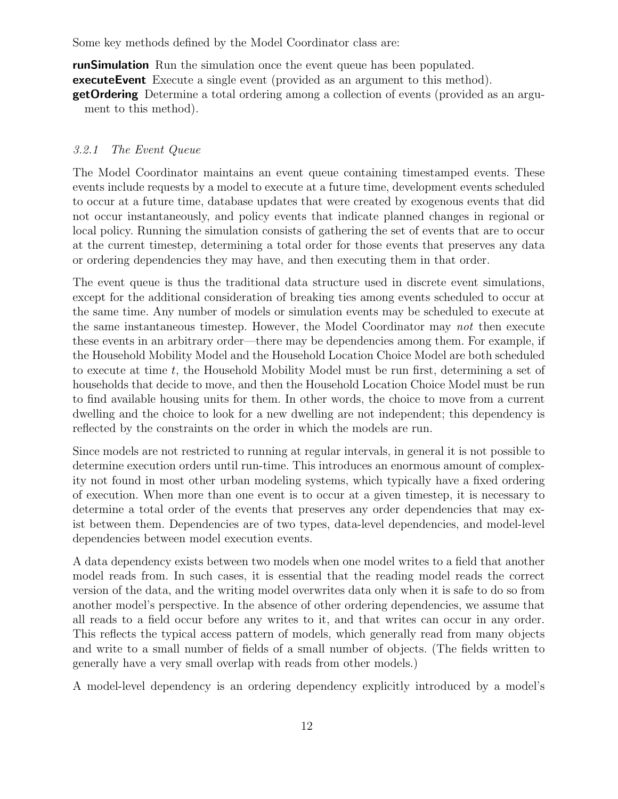Some key methods defined by the Model Coordinator class are:

runSimulation Run the simulation once the event queue has been populated. **executeEvent** Execute a single event (provided as an argument to this method). **getOrdering** Determine a total ordering among a collection of events (provided as an argu-

ment to this method).

### 3.2.1 The Event Queue

The Model Coordinator maintains an event queue containing timestamped events. These events include requests by a model to execute at a future time, development events scheduled to occur at a future time, database updates that were created by exogenous events that did not occur instantaneously, and policy events that indicate planned changes in regional or local policy. Running the simulation consists of gathering the set of events that are to occur at the current timestep, determining a total order for those events that preserves any data or ordering dependencies they may have, and then executing them in that order.

The event queue is thus the traditional data structure used in discrete event simulations, except for the additional consideration of breaking ties among events scheduled to occur at the same time. Any number of models or simulation events may be scheduled to execute at the same instantaneous timestep. However, the Model Coordinator may not then execute these events in an arbitrary order—there may be dependencies among them. For example, if the Household Mobility Model and the Household Location Choice Model are both scheduled to execute at time t, the Household Mobility Model must be run first, determining a set of households that decide to move, and then the Household Location Choice Model must be run to find available housing units for them. In other words, the choice to move from a current dwelling and the choice to look for a new dwelling are not independent; this dependency is reflected by the constraints on the order in which the models are run.

Since models are not restricted to running at regular intervals, in general it is not possible to determine execution orders until run-time. This introduces an enormous amount of complexity not found in most other urban modeling systems, which typically have a fixed ordering of execution. When more than one event is to occur at a given timestep, it is necessary to determine a total order of the events that preserves any order dependencies that may exist between them. Dependencies are of two types, data-level dependencies, and model-level dependencies between model execution events.

A data dependency exists between two models when one model writes to a field that another model reads from. In such cases, it is essential that the reading model reads the correct version of the data, and the writing model overwrites data only when it is safe to do so from another model's perspective. In the absence of other ordering dependencies, we assume that all reads to a field occur before any writes to it, and that writes can occur in any order. This reflects the typical access pattern of models, which generally read from many objects and write to a small number of fields of a small number of objects. (The fields written to generally have a very small overlap with reads from other models.)

A model-level dependency is an ordering dependency explicitly introduced by a model's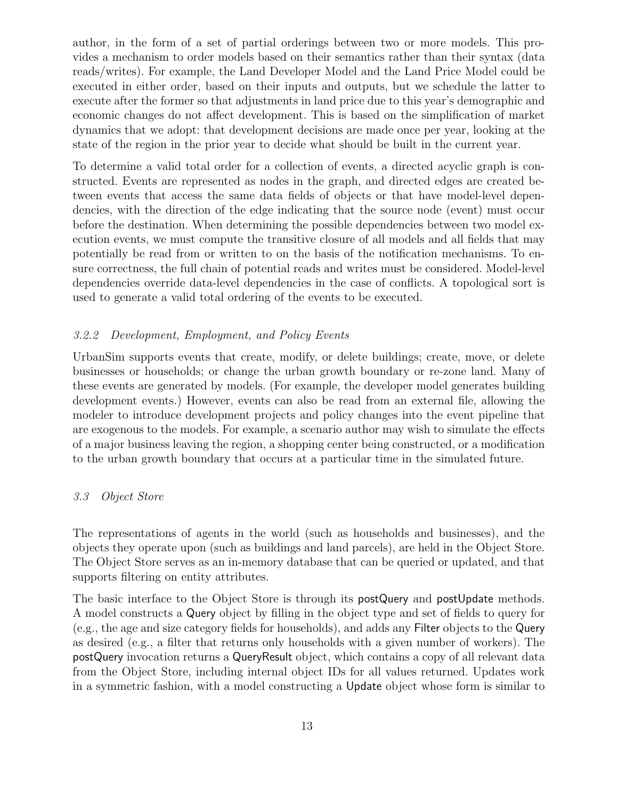author, in the form of a set of partial orderings between two or more models. This provides a mechanism to order models based on their semantics rather than their syntax (data reads/writes). For example, the Land Developer Model and the Land Price Model could be executed in either order, based on their inputs and outputs, but we schedule the latter to execute after the former so that adjustments in land price due to this year's demographic and economic changes do not affect development. This is based on the simplification of market dynamics that we adopt: that development decisions are made once per year, looking at the state of the region in the prior year to decide what should be built in the current year.

To determine a valid total order for a collection of events, a directed acyclic graph is constructed. Events are represented as nodes in the graph, and directed edges are created between events that access the same data fields of objects or that have model-level dependencies, with the direction of the edge indicating that the source node (event) must occur before the destination. When determining the possible dependencies between two model execution events, we must compute the transitive closure of all models and all fields that may potentially be read from or written to on the basis of the notification mechanisms. To ensure correctness, the full chain of potential reads and writes must be considered. Model-level dependencies override data-level dependencies in the case of conflicts. A topological sort is used to generate a valid total ordering of the events to be executed.

#### 3.2.2 Development, Employment, and Policy Events

UrbanSim supports events that create, modify, or delete buildings; create, move, or delete businesses or households; or change the urban growth boundary or re-zone land. Many of these events are generated by models. (For example, the developer model generates building development events.) However, events can also be read from an external file, allowing the modeler to introduce development projects and policy changes into the event pipeline that are exogenous to the models. For example, a scenario author may wish to simulate the effects of a major business leaving the region, a shopping center being constructed, or a modification to the urban growth boundary that occurs at a particular time in the simulated future.

#### 3.3 Object Store

The representations of agents in the world (such as households and businesses), and the objects they operate upon (such as buildings and land parcels), are held in the Object Store. The Object Store serves as an in-memory database that can be queried or updated, and that supports filtering on entity attributes.

The basic interface to the Object Store is through its postQuery and postUpdate methods. A model constructs a Query object by filling in the object type and set of fields to query for (e.g., the age and size category fields for households), and adds any Filter objects to the Query as desired (e.g., a filter that returns only households with a given number of workers). The postQuery invocation returns a QueryResult object, which contains a copy of all relevant data from the Object Store, including internal object IDs for all values returned. Updates work in a symmetric fashion, with a model constructing a Update object whose form is similar to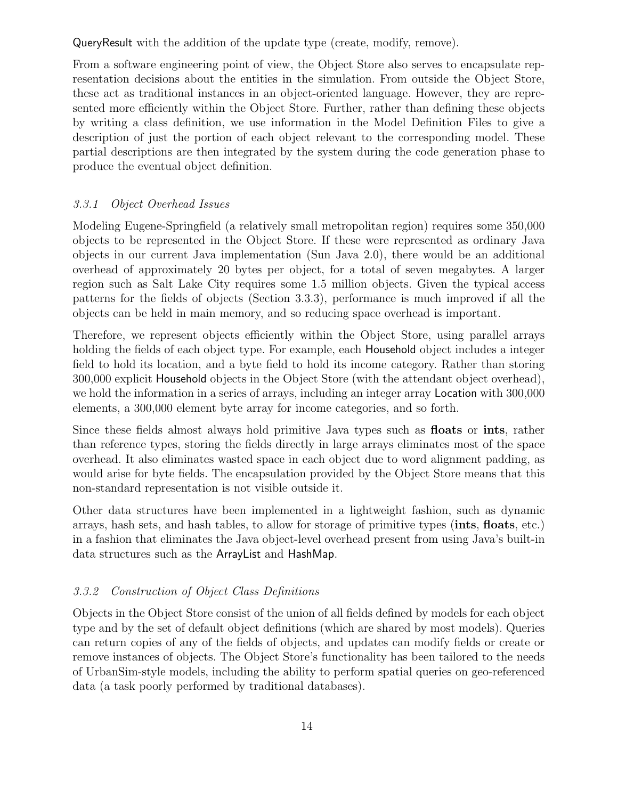QueryResult with the addition of the update type (create, modify, remove).

From a software engineering point of view, the Object Store also serves to encapsulate representation decisions about the entities in the simulation. From outside the Object Store, these act as traditional instances in an object-oriented language. However, they are represented more efficiently within the Object Store. Further, rather than defining these objects by writing a class definition, we use information in the Model Definition Files to give a description of just the portion of each object relevant to the corresponding model. These partial descriptions are then integrated by the system during the code generation phase to produce the eventual object definition.

## 3.3.1 Object Overhead Issues

Modeling Eugene-Springfield (a relatively small metropolitan region) requires some 350,000 objects to be represented in the Object Store. If these were represented as ordinary Java objects in our current Java implementation (Sun Java 2.0), there would be an additional overhead of approximately 20 bytes per object, for a total of seven megabytes. A larger region such as Salt Lake City requires some 1.5 million objects. Given the typical access patterns for the fields of objects (Section 3.3.3), performance is much improved if all the objects can be held in main memory, and so reducing space overhead is important.

Therefore, we represent objects efficiently within the Object Store, using parallel arrays holding the fields of each object type. For example, each **Household** object includes a integer field to hold its location, and a byte field to hold its income category. Rather than storing 300,000 explicit Household objects in the Object Store (with the attendant object overhead), we hold the information in a series of arrays, including an integer array Location with 300,000 elements, a 300,000 element byte array for income categories, and so forth.

Since these fields almost always hold primitive Java types such as floats or ints, rather than reference types, storing the fields directly in large arrays eliminates most of the space overhead. It also eliminates wasted space in each object due to word alignment padding, as would arise for byte fields. The encapsulation provided by the Object Store means that this non-standard representation is not visible outside it.

Other data structures have been implemented in a lightweight fashion, such as dynamic arrays, hash sets, and hash tables, to allow for storage of primitive types (ints, floats, etc.) in a fashion that eliminates the Java object-level overhead present from using Java's built-in data structures such as the ArrayList and HashMap.

## 3.3.2 Construction of Object Class Definitions

Objects in the Object Store consist of the union of all fields defined by models for each object type and by the set of default object definitions (which are shared by most models). Queries can return copies of any of the fields of objects, and updates can modify fields or create or remove instances of objects. The Object Store's functionality has been tailored to the needs of UrbanSim-style models, including the ability to perform spatial queries on geo-referenced data (a task poorly performed by traditional databases).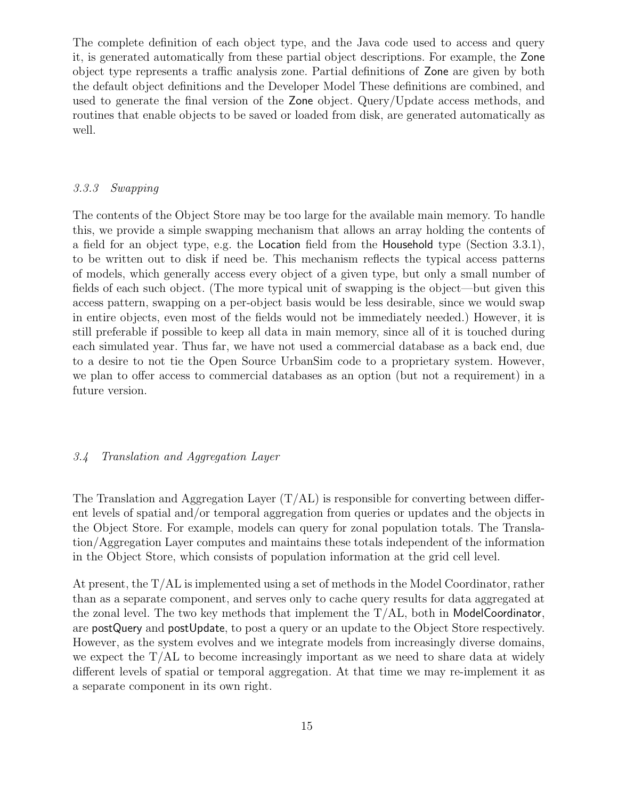The complete definition of each object type, and the Java code used to access and query it, is generated automatically from these partial object descriptions. For example, the Zone object type represents a traffic analysis zone. Partial definitions of Zone are given by both the default object definitions and the Developer Model These definitions are combined, and used to generate the final version of the Zone object. Query/Update access methods, and routines that enable objects to be saved or loaded from disk, are generated automatically as well.

## 3.3.3 Swapping

The contents of the Object Store may be too large for the available main memory. To handle this, we provide a simple swapping mechanism that allows an array holding the contents of a field for an object type, e.g. the Location field from the Household type (Section 3.3.1), to be written out to disk if need be. This mechanism reflects the typical access patterns of models, which generally access every object of a given type, but only a small number of fields of each such object. (The more typical unit of swapping is the object—but given this access pattern, swapping on a per-object basis would be less desirable, since we would swap in entire objects, even most of the fields would not be immediately needed.) However, it is still preferable if possible to keep all data in main memory, since all of it is touched during each simulated year. Thus far, we have not used a commercial database as a back end, due to a desire to not tie the Open Source UrbanSim code to a proprietary system. However, we plan to offer access to commercial databases as an option (but not a requirement) in a future version.

#### 3.4 Translation and Aggregation Layer

The Translation and Aggregation Layer  $(T/AL)$  is responsible for converting between different levels of spatial and/or temporal aggregation from queries or updates and the objects in the Object Store. For example, models can query for zonal population totals. The Translation/Aggregation Layer computes and maintains these totals independent of the information in the Object Store, which consists of population information at the grid cell level.

At present, the T/AL is implemented using a set of methods in the Model Coordinator, rather than as a separate component, and serves only to cache query results for data aggregated at the zonal level. The two key methods that implement the  $T/AL$ , both in ModelCoordinator, are postQuery and postUpdate, to post a query or an update to the Object Store respectively. However, as the system evolves and we integrate models from increasingly diverse domains, we expect the T/AL to become increasingly important as we need to share data at widely different levels of spatial or temporal aggregation. At that time we may re-implement it as a separate component in its own right.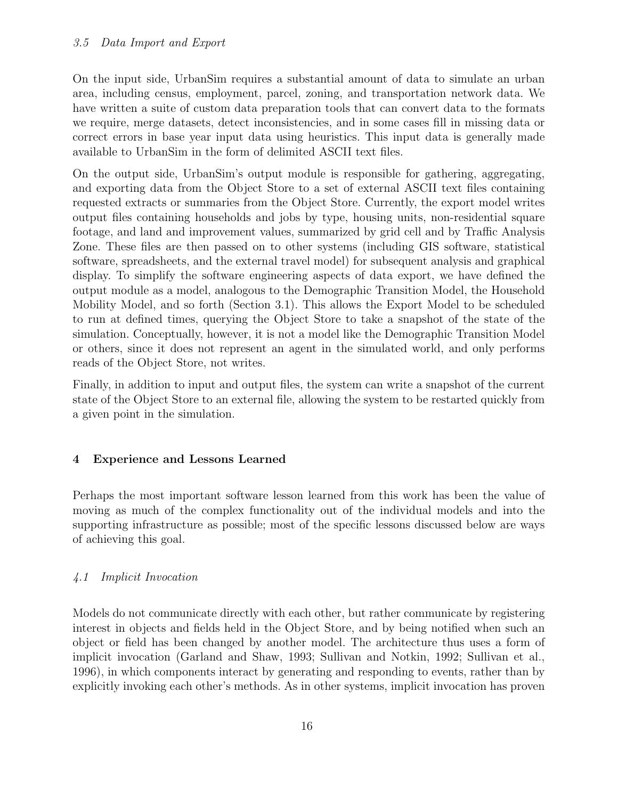On the input side, UrbanSim requires a substantial amount of data to simulate an urban area, including census, employment, parcel, zoning, and transportation network data. We have written a suite of custom data preparation tools that can convert data to the formats we require, merge datasets, detect inconsistencies, and in some cases fill in missing data or correct errors in base year input data using heuristics. This input data is generally made available to UrbanSim in the form of delimited ASCII text files.

On the output side, UrbanSim's output module is responsible for gathering, aggregating, and exporting data from the Object Store to a set of external ASCII text files containing requested extracts or summaries from the Object Store. Currently, the export model writes output files containing households and jobs by type, housing units, non-residential square footage, and land and improvement values, summarized by grid cell and by Traffic Analysis Zone. These files are then passed on to other systems (including GIS software, statistical software, spreadsheets, and the external travel model) for subsequent analysis and graphical display. To simplify the software engineering aspects of data export, we have defined the output module as a model, analogous to the Demographic Transition Model, the Household Mobility Model, and so forth (Section 3.1). This allows the Export Model to be scheduled to run at defined times, querying the Object Store to take a snapshot of the state of the simulation. Conceptually, however, it is not a model like the Demographic Transition Model or others, since it does not represent an agent in the simulated world, and only performs reads of the Object Store, not writes.

Finally, in addition to input and output files, the system can write a snapshot of the current state of the Object Store to an external file, allowing the system to be restarted quickly from a given point in the simulation.

# 4 Experience and Lessons Learned

Perhaps the most important software lesson learned from this work has been the value of moving as much of the complex functionality out of the individual models and into the supporting infrastructure as possible; most of the specific lessons discussed below are ways of achieving this goal.

# 4.1 Implicit Invocation

Models do not communicate directly with each other, but rather communicate by registering interest in objects and fields held in the Object Store, and by being notified when such an object or field has been changed by another model. The architecture thus uses a form of implicit invocation (Garland and Shaw, 1993; Sullivan and Notkin, 1992; Sullivan et al., 1996), in which components interact by generating and responding to events, rather than by explicitly invoking each other's methods. As in other systems, implicit invocation has proven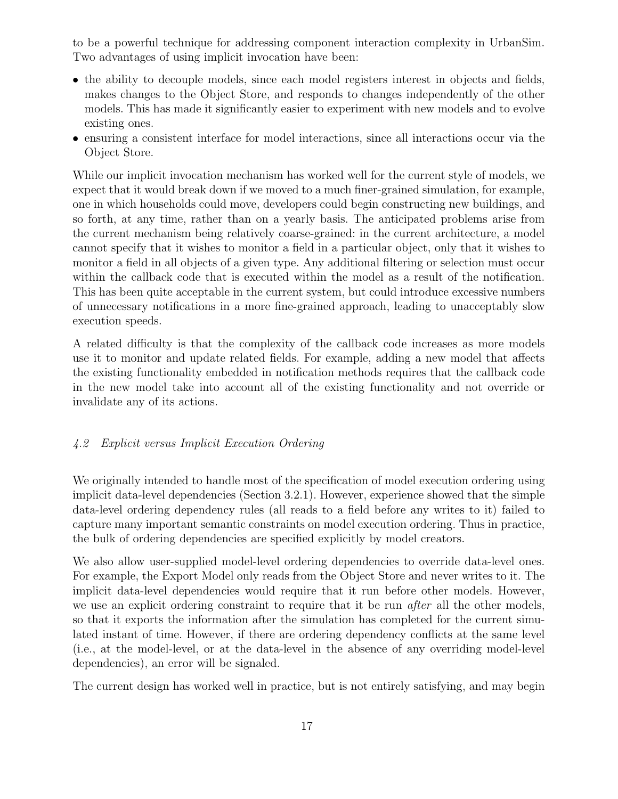to be a powerful technique for addressing component interaction complexity in UrbanSim. Two advantages of using implicit invocation have been:

- the ability to decouple models, since each model registers interest in objects and fields, makes changes to the Object Store, and responds to changes independently of the other models. This has made it significantly easier to experiment with new models and to evolve existing ones.
- ensuring a consistent interface for model interactions, since all interactions occur via the Object Store.

While our implicit invocation mechanism has worked well for the current style of models, we expect that it would break down if we moved to a much finer-grained simulation, for example, one in which households could move, developers could begin constructing new buildings, and so forth, at any time, rather than on a yearly basis. The anticipated problems arise from the current mechanism being relatively coarse-grained: in the current architecture, a model cannot specify that it wishes to monitor a field in a particular object, only that it wishes to monitor a field in all objects of a given type. Any additional filtering or selection must occur within the callback code that is executed within the model as a result of the notification. This has been quite acceptable in the current system, but could introduce excessive numbers of unnecessary notifications in a more fine-grained approach, leading to unacceptably slow execution speeds.

A related difficulty is that the complexity of the callback code increases as more models use it to monitor and update related fields. For example, adding a new model that affects the existing functionality embedded in notification methods requires that the callback code in the new model take into account all of the existing functionality and not override or invalidate any of its actions.

## 4.2 Explicit versus Implicit Execution Ordering

We originally intended to handle most of the specification of model execution ordering using implicit data-level dependencies (Section 3.2.1). However, experience showed that the simple data-level ordering dependency rules (all reads to a field before any writes to it) failed to capture many important semantic constraints on model execution ordering. Thus in practice, the bulk of ordering dependencies are specified explicitly by model creators.

We also allow user-supplied model-level ordering dependencies to override data-level ones. For example, the Export Model only reads from the Object Store and never writes to it. The implicit data-level dependencies would require that it run before other models. However, we use an explicit ordering constraint to require that it be run after all the other models, so that it exports the information after the simulation has completed for the current simulated instant of time. However, if there are ordering dependency conflicts at the same level (i.e., at the model-level, or at the data-level in the absence of any overriding model-level dependencies), an error will be signaled.

The current design has worked well in practice, but is not entirely satisfying, and may begin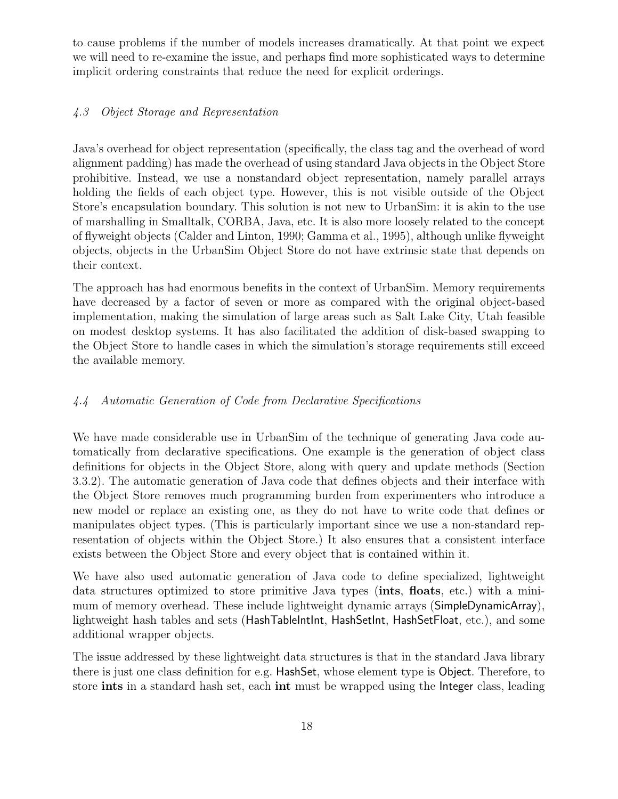to cause problems if the number of models increases dramatically. At that point we expect we will need to re-examine the issue, and perhaps find more sophisticated ways to determine implicit ordering constraints that reduce the need for explicit orderings.

### 4.3 Object Storage and Representation

Java's overhead for object representation (specifically, the class tag and the overhead of word alignment padding) has made the overhead of using standard Java objects in the Object Store prohibitive. Instead, we use a nonstandard object representation, namely parallel arrays holding the fields of each object type. However, this is not visible outside of the Object Store's encapsulation boundary. This solution is not new to UrbanSim: it is akin to the use of marshalling in Smalltalk, CORBA, Java, etc. It is also more loosely related to the concept of flyweight objects (Calder and Linton, 1990; Gamma et al., 1995), although unlike flyweight objects, objects in the UrbanSim Object Store do not have extrinsic state that depends on their context.

The approach has had enormous benefits in the context of UrbanSim. Memory requirements have decreased by a factor of seven or more as compared with the original object-based implementation, making the simulation of large areas such as Salt Lake City, Utah feasible on modest desktop systems. It has also facilitated the addition of disk-based swapping to the Object Store to handle cases in which the simulation's storage requirements still exceed the available memory.

## 4.4 Automatic Generation of Code from Declarative Specifications

We have made considerable use in UrbanSim of the technique of generating Java code automatically from declarative specifications. One example is the generation of object class definitions for objects in the Object Store, along with query and update methods (Section 3.3.2). The automatic generation of Java code that defines objects and their interface with the Object Store removes much programming burden from experimenters who introduce a new model or replace an existing one, as they do not have to write code that defines or manipulates object types. (This is particularly important since we use a non-standard representation of objects within the Object Store.) It also ensures that a consistent interface exists between the Object Store and every object that is contained within it.

We have also used automatic generation of Java code to define specialized, lightweight data structures optimized to store primitive Java types (ints, floats, etc.) with a minimum of memory overhead. These include lightweight dynamic arrays (SimpleDynamicArray), lightweight hash tables and sets (HashTableIntInt, HashSetInt, HashSetFloat, etc.), and some additional wrapper objects.

The issue addressed by these lightweight data structures is that in the standard Java library there is just one class definition for e.g. HashSet, whose element type is Object. Therefore, to store ints in a standard hash set, each int must be wrapped using the Integer class, leading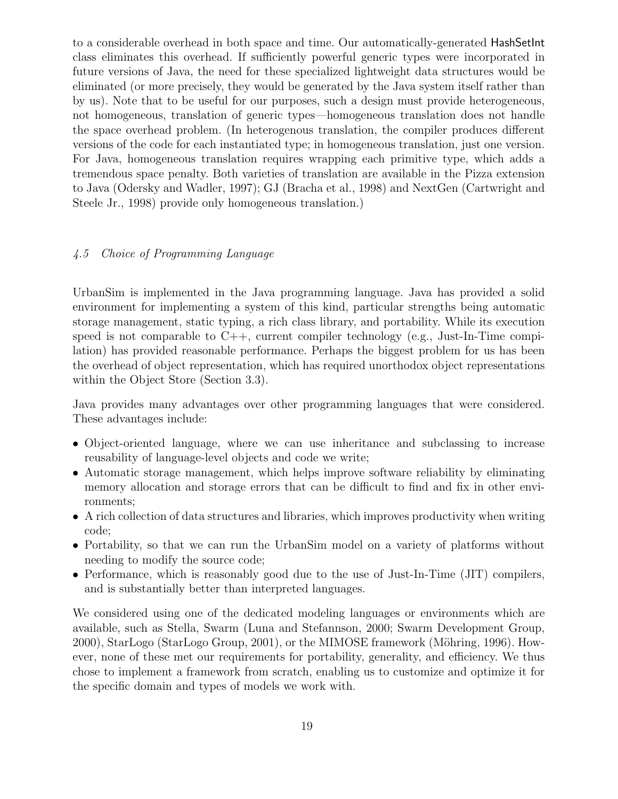to a considerable overhead in both space and time. Our automatically-generated HashSetInt class eliminates this overhead. If sufficiently powerful generic types were incorporated in future versions of Java, the need for these specialized lightweight data structures would be eliminated (or more precisely, they would be generated by the Java system itself rather than by us). Note that to be useful for our purposes, such a design must provide heterogeneous, not homogeneous, translation of generic types—homogeneous translation does not handle the space overhead problem. (In heterogenous translation, the compiler produces different versions of the code for each instantiated type; in homogeneous translation, just one version. For Java, homogeneous translation requires wrapping each primitive type, which adds a tremendous space penalty. Both varieties of translation are available in the Pizza extension to Java (Odersky and Wadler, 1997); GJ (Bracha et al., 1998) and NextGen (Cartwright and Steele Jr., 1998) provide only homogeneous translation.)

#### 4.5 Choice of Programming Language

UrbanSim is implemented in the Java programming language. Java has provided a solid environment for implementing a system of this kind, particular strengths being automatic storage management, static typing, a rich class library, and portability. While its execution speed is not comparable to  $C_{++}$ , current compiler technology (e.g., Just-In-Time compilation) has provided reasonable performance. Perhaps the biggest problem for us has been the overhead of object representation, which has required unorthodox object representations within the Object Store (Section 3.3).

Java provides many advantages over other programming languages that were considered. These advantages include:

- Object-oriented language, where we can use inheritance and subclassing to increase reusability of language-level objects and code we write;
- Automatic storage management, which helps improve software reliability by eliminating memory allocation and storage errors that can be difficult to find and fix in other environments;
- A rich collection of data structures and libraries, which improves productivity when writing code;
- Portability, so that we can run the UrbanSim model on a variety of platforms without needing to modify the source code;
- Performance, which is reasonably good due to the use of Just-In-Time (JIT) compilers, and is substantially better than interpreted languages.

We considered using one of the dedicated modeling languages or environments which are available, such as Stella, Swarm (Luna and Stefannson, 2000; Swarm Development Group, 2000), StarLogo (StarLogo Group, 2001), or the MIMOSE framework (Möhring, 1996). However, none of these met our requirements for portability, generality, and efficiency. We thus chose to implement a framework from scratch, enabling us to customize and optimize it for the specific domain and types of models we work with.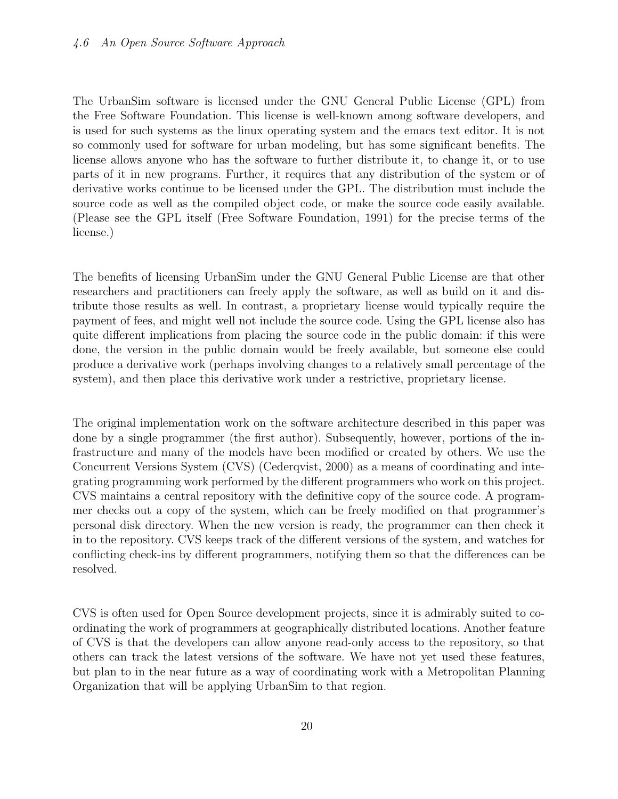The UrbanSim software is licensed under the GNU General Public License (GPL) from the Free Software Foundation. This license is well-known among software developers, and is used for such systems as the linux operating system and the emacs text editor. It is not so commonly used for software for urban modeling, but has some significant benefits. The license allows anyone who has the software to further distribute it, to change it, or to use parts of it in new programs. Further, it requires that any distribution of the system or of derivative works continue to be licensed under the GPL. The distribution must include the source code as well as the compiled object code, or make the source code easily available. (Please see the GPL itself (Free Software Foundation, 1991) for the precise terms of the license.)

The benefits of licensing UrbanSim under the GNU General Public License are that other researchers and practitioners can freely apply the software, as well as build on it and distribute those results as well. In contrast, a proprietary license would typically require the payment of fees, and might well not include the source code. Using the GPL license also has quite different implications from placing the source code in the public domain: if this were done, the version in the public domain would be freely available, but someone else could produce a derivative work (perhaps involving changes to a relatively small percentage of the system), and then place this derivative work under a restrictive, proprietary license.

The original implementation work on the software architecture described in this paper was done by a single programmer (the first author). Subsequently, however, portions of the infrastructure and many of the models have been modified or created by others. We use the Concurrent Versions System (CVS) (Cederqvist, 2000) as a means of coordinating and integrating programming work performed by the different programmers who work on this project. CVS maintains a central repository with the definitive copy of the source code. A programmer checks out a copy of the system, which can be freely modified on that programmer's personal disk directory. When the new version is ready, the programmer can then check it in to the repository. CVS keeps track of the different versions of the system, and watches for conflicting check-ins by different programmers, notifying them so that the differences can be resolved.

CVS is often used for Open Source development projects, since it is admirably suited to coordinating the work of programmers at geographically distributed locations. Another feature of CVS is that the developers can allow anyone read-only access to the repository, so that others can track the latest versions of the software. We have not yet used these features, but plan to in the near future as a way of coordinating work with a Metropolitan Planning Organization that will be applying UrbanSim to that region.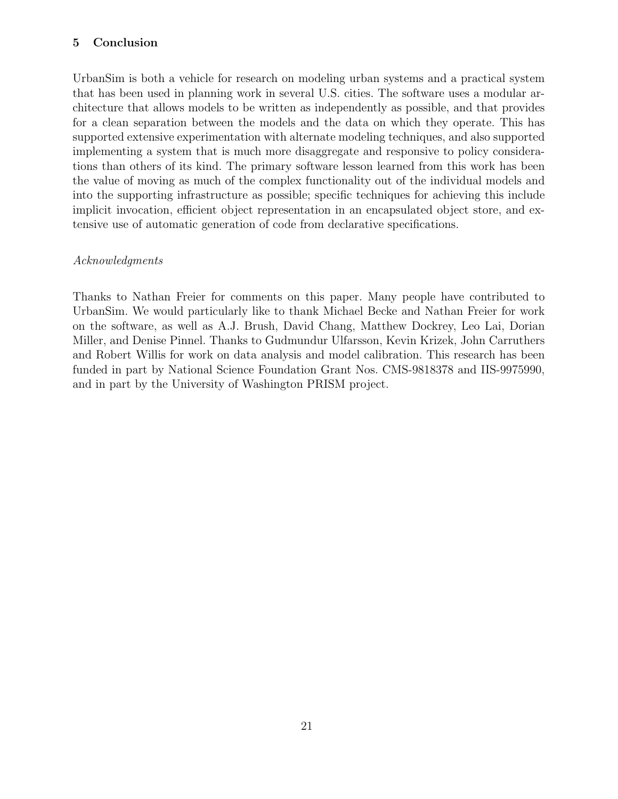## 5 Conclusion

UrbanSim is both a vehicle for research on modeling urban systems and a practical system that has been used in planning work in several U.S. cities. The software uses a modular architecture that allows models to be written as independently as possible, and that provides for a clean separation between the models and the data on which they operate. This has supported extensive experimentation with alternate modeling techniques, and also supported implementing a system that is much more disaggregate and responsive to policy considerations than others of its kind. The primary software lesson learned from this work has been the value of moving as much of the complex functionality out of the individual models and into the supporting infrastructure as possible; specific techniques for achieving this include implicit invocation, efficient object representation in an encapsulated object store, and extensive use of automatic generation of code from declarative specifications.

## Acknowledgments

Thanks to Nathan Freier for comments on this paper. Many people have contributed to UrbanSim. We would particularly like to thank Michael Becke and Nathan Freier for work on the software, as well as A.J. Brush, David Chang, Matthew Dockrey, Leo Lai, Dorian Miller, and Denise Pinnel. Thanks to Gudmundur Ulfarsson, Kevin Krizek, John Carruthers and Robert Willis for work on data analysis and model calibration. This research has been funded in part by National Science Foundation Grant Nos. CMS-9818378 and IIS-9975990, and in part by the University of Washington PRISM project.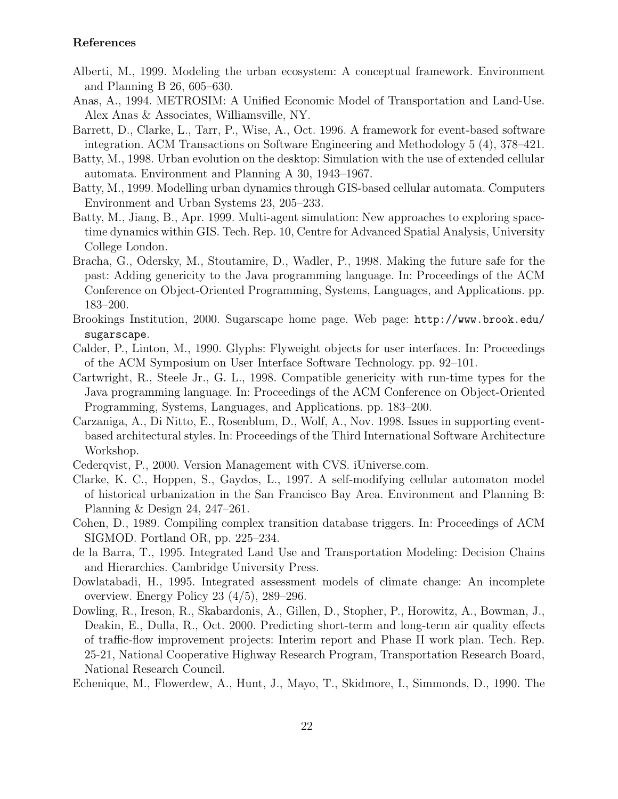#### References

- Alberti, M., 1999. Modeling the urban ecosystem: A conceptual framework. Environment and Planning B 26, 605–630.
- Anas, A., 1994. METROSIM: A Unified Economic Model of Transportation and Land-Use. Alex Anas & Associates, Williamsville, NY.
- Barrett, D., Clarke, L., Tarr, P., Wise, A., Oct. 1996. A framework for event-based software integration. ACM Transactions on Software Engineering and Methodology 5 (4), 378–421.
- Batty, M., 1998. Urban evolution on the desktop: Simulation with the use of extended cellular automata. Environment and Planning A 30, 1943–1967.
- Batty, M., 1999. Modelling urban dynamics through GIS-based cellular automata. Computers Environment and Urban Systems 23, 205–233.
- Batty, M., Jiang, B., Apr. 1999. Multi-agent simulation: New approaches to exploring spacetime dynamics within GIS. Tech. Rep. 10, Centre for Advanced Spatial Analysis, University College London.
- Bracha, G., Odersky, M., Stoutamire, D., Wadler, P., 1998. Making the future safe for the past: Adding genericity to the Java programming language. In: Proceedings of the ACM Conference on Object-Oriented Programming, Systems, Languages, and Applications. pp. 183–200.
- Brookings Institution, 2000. Sugarscape home page. Web page: http://www.brook.edu/ sugarscape.
- Calder, P., Linton, M., 1990. Glyphs: Flyweight objects for user interfaces. In: Proceedings of the ACM Symposium on User Interface Software Technology. pp. 92–101.
- Cartwright, R., Steele Jr., G. L., 1998. Compatible genericity with run-time types for the Java programming language. In: Proceedings of the ACM Conference on Object-Oriented Programming, Systems, Languages, and Applications. pp. 183–200.
- Carzaniga, A., Di Nitto, E., Rosenblum, D., Wolf, A., Nov. 1998. Issues in supporting eventbased architectural styles. In: Proceedings of the Third International Software Architecture Workshop.
- Cederqvist, P., 2000. Version Management with CVS. iUniverse.com.
- Clarke, K. C., Hoppen, S., Gaydos, L., 1997. A self-modifying cellular automaton model of historical urbanization in the San Francisco Bay Area. Environment and Planning B: Planning & Design 24, 247–261.
- Cohen, D., 1989. Compiling complex transition database triggers. In: Proceedings of ACM SIGMOD. Portland OR, pp. 225–234.
- de la Barra, T., 1995. Integrated Land Use and Transportation Modeling: Decision Chains and Hierarchies. Cambridge University Press.
- Dowlatabadi, H., 1995. Integrated assessment models of climate change: An incomplete overview. Energy Policy 23 (4/5), 289–296.
- Dowling, R., Ireson, R., Skabardonis, A., Gillen, D., Stopher, P., Horowitz, A., Bowman, J., Deakin, E., Dulla, R., Oct. 2000. Predicting short-term and long-term air quality effects of traffic-flow improvement projects: Interim report and Phase II work plan. Tech. Rep. 25-21, National Cooperative Highway Research Program, Transportation Research Board, National Research Council.
- Echenique, M., Flowerdew, A., Hunt, J., Mayo, T., Skidmore, I., Simmonds, D., 1990. The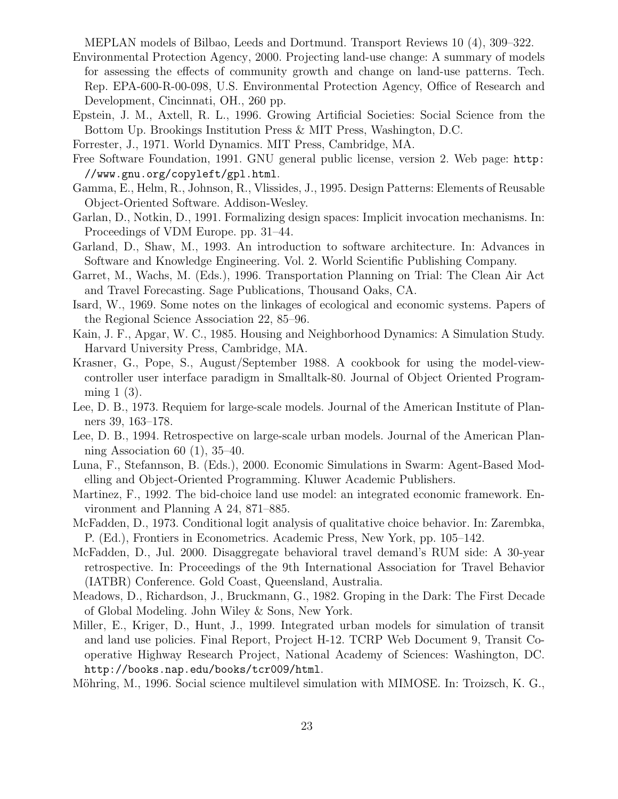MEPLAN models of Bilbao, Leeds and Dortmund. Transport Reviews 10 (4), 309–322.

- Environmental Protection Agency, 2000. Projecting land-use change: A summary of models for assessing the effects of community growth and change on land-use patterns. Tech. Rep. EPA-600-R-00-098, U.S. Environmental Protection Agency, Office of Research and Development, Cincinnati, OH., 260 pp.
- Epstein, J. M., Axtell, R. L., 1996. Growing Artificial Societies: Social Science from the Bottom Up. Brookings Institution Press & MIT Press, Washington, D.C.
- Forrester, J., 1971. World Dynamics. MIT Press, Cambridge, MA.
- Free Software Foundation, 1991. GNU general public license, version 2. Web page: http: //www.gnu.org/copyleft/gpl.html.
- Gamma, E., Helm, R., Johnson, R., Vlissides, J., 1995. Design Patterns: Elements of Reusable Object-Oriented Software. Addison-Wesley.
- Garlan, D., Notkin, D., 1991. Formalizing design spaces: Implicit invocation mechanisms. In: Proceedings of VDM Europe. pp. 31–44.
- Garland, D., Shaw, M., 1993. An introduction to software architecture. In: Advances in Software and Knowledge Engineering. Vol. 2. World Scientific Publishing Company.
- Garret, M., Wachs, M. (Eds.), 1996. Transportation Planning on Trial: The Clean Air Act and Travel Forecasting. Sage Publications, Thousand Oaks, CA.
- Isard, W., 1969. Some notes on the linkages of ecological and economic systems. Papers of the Regional Science Association 22, 85–96.
- Kain, J. F., Apgar, W. C., 1985. Housing and Neighborhood Dynamics: A Simulation Study. Harvard University Press, Cambridge, MA.
- Krasner, G., Pope, S., August/September 1988. A cookbook for using the model-viewcontroller user interface paradigm in Smalltalk-80. Journal of Object Oriented Programming 1 (3).
- Lee, D. B., 1973. Requiem for large-scale models. Journal of the American Institute of Planners 39, 163–178.
- Lee, D. B., 1994. Retrospective on large-scale urban models. Journal of the American Planning Association 60 (1), 35–40.
- Luna, F., Stefannson, B. (Eds.), 2000. Economic Simulations in Swarm: Agent-Based Modelling and Object-Oriented Programming. Kluwer Academic Publishers.
- Martinez, F., 1992. The bid-choice land use model: an integrated economic framework. Environment and Planning A 24, 871–885.
- McFadden, D., 1973. Conditional logit analysis of qualitative choice behavior. In: Zarembka, P. (Ed.), Frontiers in Econometrics. Academic Press, New York, pp. 105–142.
- McFadden, D., Jul. 2000. Disaggregate behavioral travel demand's RUM side: A 30-year retrospective. In: Proceedings of the 9th International Association for Travel Behavior (IATBR) Conference. Gold Coast, Queensland, Australia.
- Meadows, D., Richardson, J., Bruckmann, G., 1982. Groping in the Dark: The First Decade of Global Modeling. John Wiley & Sons, New York.
- Miller, E., Kriger, D., Hunt, J., 1999. Integrated urban models for simulation of transit and land use policies. Final Report, Project H-12. TCRP Web Document 9, Transit Cooperative Highway Research Project, National Academy of Sciences: Washington, DC. http://books.nap.edu/books/tcr009/html.
- Möhring, M., 1996. Social science multilevel simulation with MIMOSE. In: Troizsch, K. G.,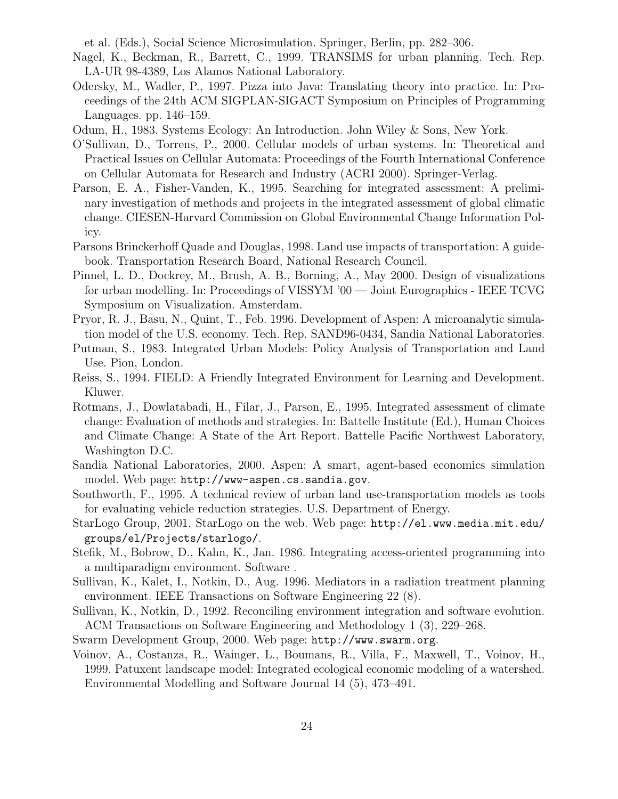et al. (Eds.), Social Science Microsimulation. Springer, Berlin, pp. 282–306.

- Nagel, K., Beckman, R., Barrett, C., 1999. TRANSIMS for urban planning. Tech. Rep. LA-UR 98-4389, Los Alamos National Laboratory.
- Odersky, M., Wadler, P., 1997. Pizza into Java: Translating theory into practice. In: Proceedings of the 24th ACM SIGPLAN-SIGACT Symposium on Principles of Programming Languages. pp. 146–159.
- Odum, H., 1983. Systems Ecology: An Introduction. John Wiley & Sons, New York.
- O'Sullivan, D., Torrens, P., 2000. Cellular models of urban systems. In: Theoretical and Practical Issues on Cellular Automata: Proceedings of the Fourth International Conference on Cellular Automata for Research and Industry (ACRI 2000). Springer-Verlag.
- Parson, E. A., Fisher-Vanden, K., 1995. Searching for integrated assessment: A preliminary investigation of methods and projects in the integrated assessment of global climatic change. CIESEN-Harvard Commission on Global Environmental Change Information Policy.
- Parsons Brinckerhoff Quade and Douglas, 1998. Land use impacts of transportation: A guidebook. Transportation Research Board, National Research Council.
- Pinnel, L. D., Dockrey, M., Brush, A. B., Borning, A., May 2000. Design of visualizations for urban modelling. In: Proceedings of VISSYM '00 — Joint Eurographics - IEEE TCVG Symposium on Visualization. Amsterdam.
- Pryor, R. J., Basu, N., Quint, T., Feb. 1996. Development of Aspen: A microanalytic simulation model of the U.S. economy. Tech. Rep. SAND96-0434, Sandia National Laboratories.
- Putman, S., 1983. Integrated Urban Models: Policy Analysis of Transportation and Land Use. Pion, London.
- Reiss, S., 1994. FIELD: A Friendly Integrated Environment for Learning and Development. Kluwer.
- Rotmans, J., Dowlatabadi, H., Filar, J., Parson, E., 1995. Integrated assessment of climate change: Evaluation of methods and strategies. In: Battelle Institute (Ed.), Human Choices and Climate Change: A State of the Art Report. Battelle Pacific Northwest Laboratory, Washington D.C.
- Sandia National Laboratories, 2000. Aspen: A smart, agent-based economics simulation model. Web page: http://www-aspen.cs.sandia.gov.
- Southworth, F., 1995. A technical review of urban land use-transportation models as tools for evaluating vehicle reduction strategies. U.S. Department of Energy.
- StarLogo Group, 2001. StarLogo on the web. Web page: http://el.www.media.mit.edu/ groups/el/Projects/starlogo/.
- Stefik, M., Bobrow, D., Kahn, K., Jan. 1986. Integrating access-oriented programming into a multiparadigm environment. Software .
- Sullivan, K., Kalet, I., Notkin, D., Aug. 1996. Mediators in a radiation treatment planning environment. IEEE Transactions on Software Engineering 22 (8).
- Sullivan, K., Notkin, D., 1992. Reconciling environment integration and software evolution. ACM Transactions on Software Engineering and Methodology 1 (3), 229–268.
- Swarm Development Group, 2000. Web page: http://www.swarm.org.
- Voinov, A., Costanza, R., Wainger, L., Boumans, R., Villa, F., Maxwell, T., Voinov, H., 1999. Patuxent landscape model: Integrated ecological economic modeling of a watershed. Environmental Modelling and Software Journal 14 (5), 473–491.